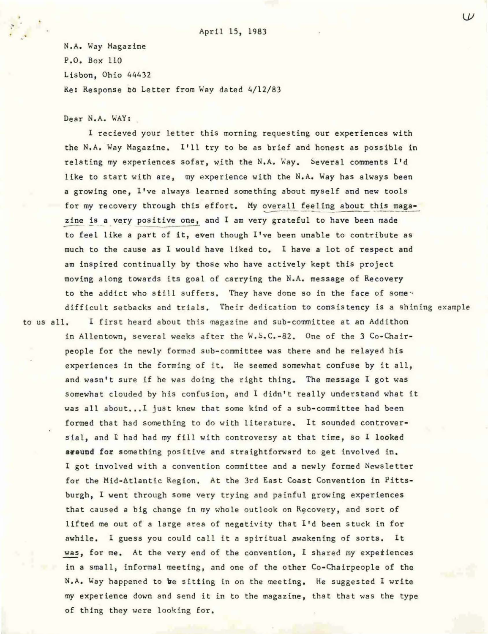N.A. Way Magazine P.O. Box 110 Lisbon, Ohio 44432 Re: Response to Letter from Way dated 4/12/83

Dear N.A. WAY:

I recieved your letter this morning requesting our experiences with the N.A. Way Magazine. I'll try to be as brief and honest as possible in relating my experiences sofar, with the N.A. Way. Several comments I'd like to start with are, my experience with the N.A. Way has always been a growing one, I've always learned something about myself and new tools for my recovery through this effort. My overall feeling about this maga-<br>zine is a very positive one, and I am very grateful to have been made to feel like a part of it, even though I've been unable to contribute as much to the cause as I would have liked to. I have a lot of respect and am inspired continually by those who have actively kept this project moving along towards its goal of carrying the N.A. message of Recovery to the addict who still suffers. They have done so in the face of some: difficult setbacks and trials. Their dedication to consistency is a shining example

to us all. I first heard about this magazine and sub-committee at an Addithon in Allentown, several weeks after the W.S.C.-82. One of the 3 Co-Chairpeople for the newly formed sub-committee was there and he relayed his experiences in the forming of it. He seemed somewhat confuse by it all. and wasn't sure if he was doing the right thing. The message I got was somewhat clouded by his confusion, and I didn't really understand what it was all about... I just knew that some kind of a sub-committee had been formed that had something to do with literature. It sounded controversial, and I had had my fill with controversy at that time, so I looked around for something positive and straightforward to get involved in. I got involved with a convention committee and a newly formed Newsletter for the Mid-Atlantic Region. At the 3rd East Coast Convention in Pittsburgh, I went through some very trying and painful growing experiences that caused a big change in my whole outlook on Recovery, and sort of lifted me out of a large area of negativity that I'd been stuck in for awhile. I guess you could call it a spiritual awakening of sorts. It was, for me. At the very end of the convention, I shared my experiences in a small, informal meeting, and one of the other Co-Chairpeople of the N.A. Way happened to be sitting in on the meeting. He suggested I write my experience down and send it in to the magazine, that that was the type of thing they were looking for.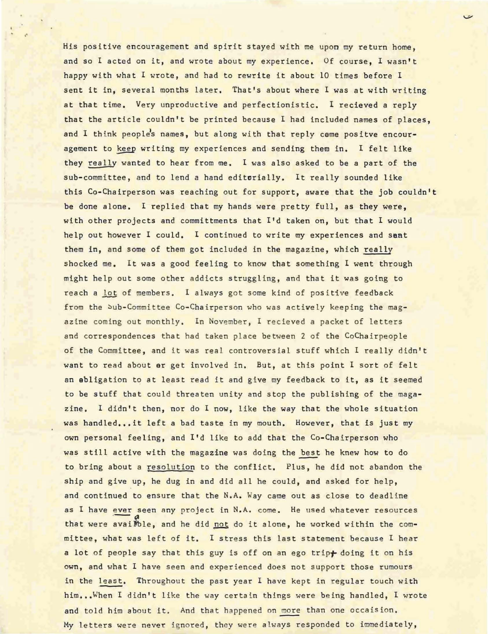His positive encouragement and spirit stayed with me upon my return home, and so 1 acted on it, and wrote about my experience. Of course, 1 wasn't happy with what I wrote, and had to rewrite it about 10 times before I sent it in, several months later. That's about where I was at with writing at that time. Very unproductive and perfectionistic. I recieved a reply that the article couldn't be printed because I had included names of places, and I think people's names, but along with that reply came positve encouragement to keep writing my experiences and sending them in. I felt like they really wanted to hear from me. 1 was also asked to be a part of the sub-committee, and to lend a hand editorially. It really sounded like this Co-Chairperson was reaching out for support, aware that the job couldn't be done alone. I replied that my hands were pretty full, as they were. with other projects and committments that I'd taken on, but that I would help out however I could. I continued to write my experiences and sant them in, and some of them got included in the magazine, which really shocked me. It was a good feeling to know that something I went through might help out some other addicts struggling, and that it was going to reach a lot of members. I always got some kind of positive feedback from the bub-Committee Co-Chairperson who was actively keeping the magazine coming out monthly. In November, I recieved a packet of letters and correspondences that had taken place between 2 of the CoChairpeople of the Committee, and it was real controversial stuff which I really didn't want to read about er get involved in. But, at this point I sort of felt an abligation to at least read it and give my feedback to it, as it seemed to be stuff that could threaten unity and stop the publishing of the magazine. I didn't then, nor do I now, like the way that the whole situation was handled...it left a bad taste in my mouth. However, that is just my own personal feeling, and I'd like to add that the Co-Chairperson who was still active with the magazine was doing the best he knew how to do to bring about a resolution to the conflict. Plus, he did not abandon the ship and give up, he dug in and did all he could, and asked for help, and continued to ensure that the N.A. Way came out as close to deadline as I have ever seen any project in N.A. come. He used whatever resources that were availble, and he did not do it alone, he worked within the committee, what was left of it. I stress this last statement because I hear a lot of people say that this guy is off on an ego trip+ doing it on his **own, and what I have seen and experienced does not support those rumours** in the least. Throughout the past year I have kept in regular touch with him...When I didn't like the way certain things were being handled, I wrote and told him about it. And that happened on more than one occaision. My letters were never ignored, they were always responded to immediately,

.'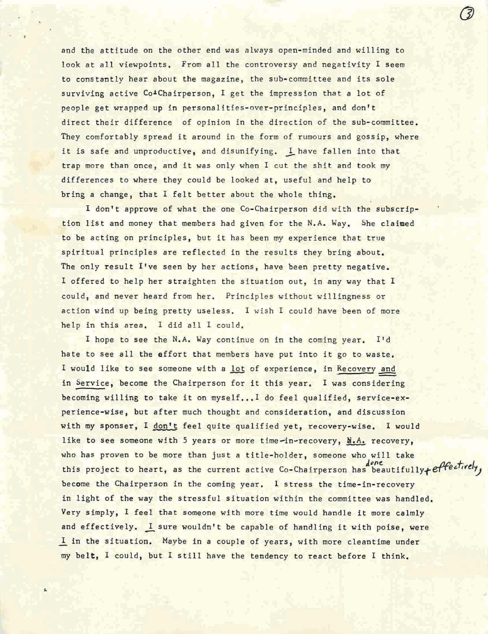and the attitude on the other end was always open-minded and willing to look at all viewpoints. From all the controversy and negativity I seem to constantly hear about the magazine, the sub-committee and its sole surviving active Co<sup>1</sup>Chairperson, I get the impression that a lot of people get wrapped up in personalities-over-principles, and don't direct their difference of opinion in the direction of the sub-committee. They comfortably spread it around in the form of rumours and gossip, where it is safe and unproductive, and disunifying. I have fallen into that trap more than once, and it was only when I cut the shit and took my differences to where they could be looked at, useful and help to bring a change, that I felt better about the whole thing.

I don't approve of what the one Co-Chairperson did with the subscription list and money that members had given for the N.A. Way. She claimed to be acting on principles, but it has been my experience that true spiritual principles are reflected in the results they bring about. The only result I've seen by her actions, have been pretty negative. I offered to help her straighten the situation out, in any way that I could, and never heard from her. Principles without willingness or action wind up being pretty useless. I wish I could have been of more help in this area. I did all I could.

I hope to see the N.A. Way continue on in the coming year. I'd hate to see all the effort that members have put into it go to waste. I would like to see someone with a lot of experience, in Recovery and in Service, become the Chairperson for it this year. I was considering becoming willing to take it on myself...I do feel qualified, service-experience-wise, but after much thought and consideration, and discussion with my sponser, I don't feel quite qualified yet, recovery-wise. I would like to see someone with 5 years or more time-in-recovery,  $\mathbf{d}_i \mathbf{A}_i$  recovery, who has proven to be more than just a title-holder, someone who will take this project to heart, as the current active Co-Chairperson has beautifully+ effectively, become the Chairperson in the coming year. 1 stress the time-in-recovery in light of the way the stressful situation within the committee was handled. Very simply, I feel that someone with more time would handle it more calmly and effectively. I sure wouldn't be capable of handling it with poise, were I in the situation. Maybe in a couple of years, with more cleantime under my belt, I could, but I still have the tendency to react before I think.